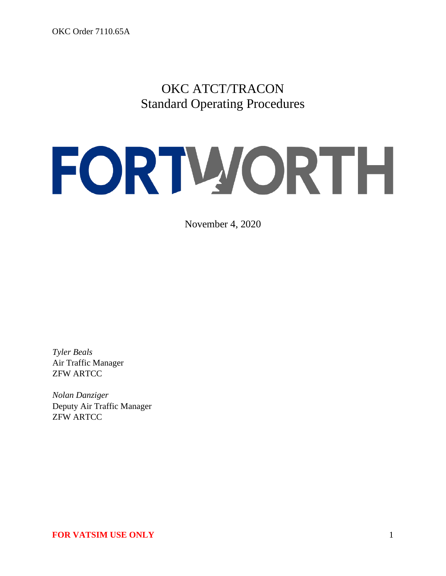# OKC ATCT/TRACON Standard Operating Procedures

# FORTWORTH

November 4, 2020

*Tyler Beals* Air Traffic Manager ZFW ARTCC

*Nolan Danziger* Deputy Air Traffic Manager ZFW ARTCC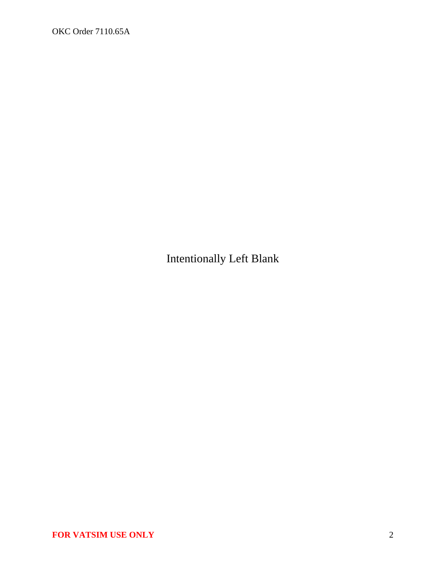Intentionally Left Blank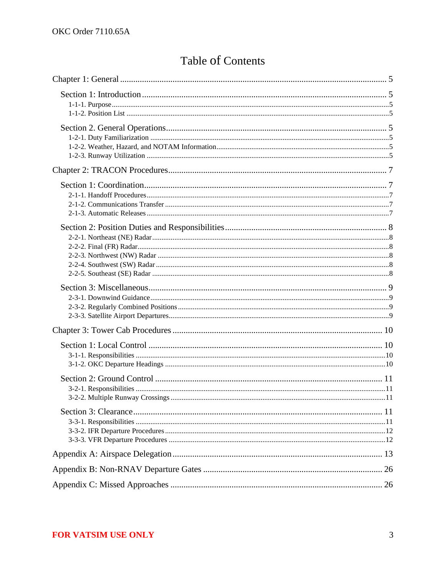# **Table of Contents**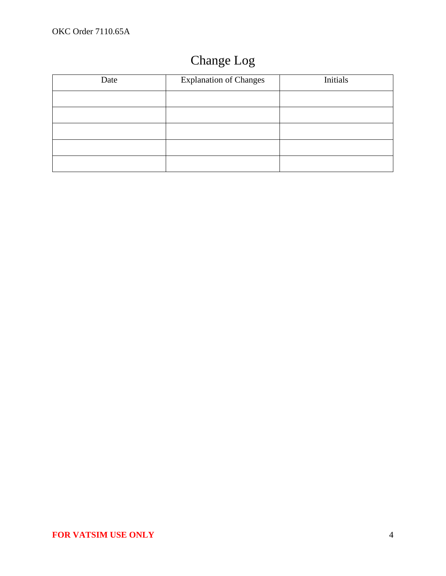# Change Log

| Date | <b>Explanation of Changes</b> | Initials |
|------|-------------------------------|----------|
|      |                               |          |
|      |                               |          |
|      |                               |          |
|      |                               |          |
|      |                               |          |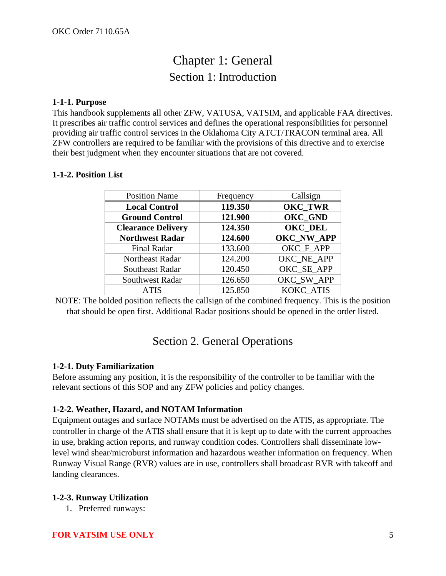# Chapter 1: General Section 1: Introduction

# <span id="page-4-2"></span><span id="page-4-1"></span><span id="page-4-0"></span>**1-1-1. Purpose**

This handbook supplements all other ZFW, VATUSA, VATSIM, and applicable FAA directives. It prescribes air traffic control services and defines the operational responsibilities for personnel providing air traffic control services in the Oklahoma City ATCT/TRACON terminal area. All ZFW controllers are required to be familiar with the provisions of this directive and to exercise their best judgment when they encounter situations that are not covered.

# <span id="page-4-3"></span>**1-1-2. Position List**

| <b>Position Name</b>      | Frequency | Callsign         |
|---------------------------|-----------|------------------|
| <b>Local Control</b>      | 119.350   | <b>OKC TWR</b>   |
| <b>Ground Control</b>     | 121.900   | OKC GND          |
| <b>Clearance Delivery</b> | 124.350   | OKC DEL          |
| <b>Northwest Radar</b>    | 124.600   | OKC_NW_APP       |
| <b>Final Radar</b>        | 133.600   | OKC F APP        |
| Northeast Radar           | 124.200   | OKC NE APP       |
| Southeast Radar           | 120.450   | OKC SE APP       |
| Southwest Radar           | 126.650   | OKC SW APP       |
| <b>ATIS</b>               | 125.850   | <b>KOKC ATIS</b> |

NOTE: The bolded position reflects the callsign of the combined frequency. This is the position that should be open first. Additional Radar positions should be opened in the order listed.

# Section 2. General Operations

# <span id="page-4-5"></span><span id="page-4-4"></span>**1-2-1. Duty Familiarization**

Before assuming any position, it is the responsibility of the controller to be familiar with the relevant sections of this SOP and any ZFW policies and policy changes.

# <span id="page-4-6"></span>**1-2-2. Weather, Hazard, and NOTAM Information**

Equipment outages and surface NOTAMs must be advertised on the ATIS, as appropriate. The controller in charge of the ATIS shall ensure that it is kept up to date with the current approaches in use, braking action reports, and runway condition codes. Controllers shall disseminate lowlevel wind shear/microburst information and hazardous weather information on frequency. When Runway Visual Range (RVR) values are in use, controllers shall broadcast RVR with takeoff and landing clearances.

# <span id="page-4-7"></span>**1-2-3. Runway Utilization**

1. Preferred runways: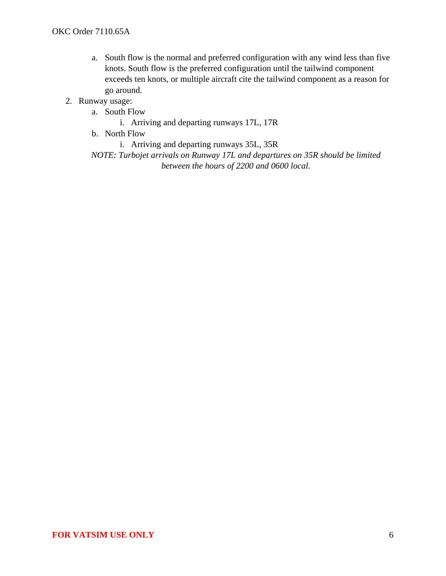- a. South flow is the normal and preferred configuration with any wind less than five knots. South flow is the preferred configuration until the tailwind component exceeds ten knots, or multiple aircraft cite the tailwind component as a reason for go around.
- 2. Runway usage:
	- a. South Flow
		- i. Arriving and departing runways 17L, 17R
	- b. North Flow
		- i. Arriving and departing runways 35L, 35R

*NOTE: Turbojet arrivals on Runway 17L and departures on 35R should be limited between the hours of 2200 and 0600 local.*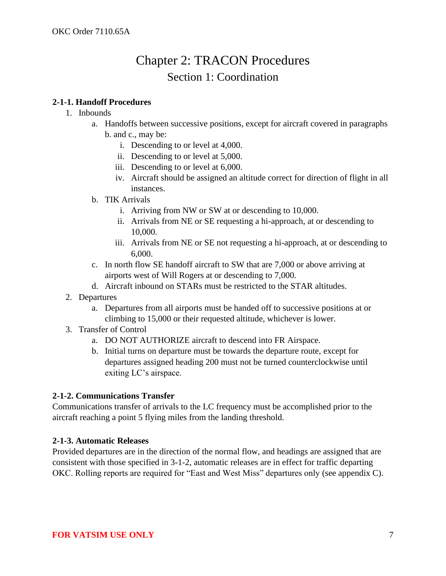# Chapter 2: TRACON Procedures Section 1: Coordination

# <span id="page-6-2"></span><span id="page-6-1"></span><span id="page-6-0"></span>**2-1-1. Handoff Procedures**

- 1. Inbounds
	- a. Handoffs between successive positions, except for aircraft covered in paragraphs b. and c., may be:
		- i. Descending to or level at 4,000.
		- ii. Descending to or level at 5,000.
		- iii. Descending to or level at 6,000.
		- iv. Aircraft should be assigned an altitude correct for direction of flight in all instances.
	- b. TIK Arrivals
		- i. Arriving from NW or SW at or descending to 10,000.
		- ii. Arrivals from NE or SE requesting a hi-approach, at or descending to 10,000.
		- iii. Arrivals from NE or SE not requesting a hi-approach, at or descending to 6,000.
	- c. In north flow SE handoff aircraft to SW that are 7,000 or above arriving at airports west of Will Rogers at or descending to 7,000.
	- d. Aircraft inbound on STARs must be restricted to the STAR altitudes.
- 2. Departures
	- a. Departures from all airports must be handed off to successive positions at or climbing to 15,000 or their requested altitude, whichever is lower.
- 3. Transfer of Control
	- a. DO NOT AUTHORIZE aircraft to descend into FR Airspace.
	- b. Initial turns on departure must be towards the departure route, except for departures assigned heading 200 must not be turned counterclockwise until exiting LC's airspace.

## <span id="page-6-3"></span>**2-1-2. Communications Transfer**

Communications transfer of arrivals to the LC frequency must be accomplished prior to the aircraft reaching a point 5 flying miles from the landing threshold.

## <span id="page-6-4"></span>**2-1-3. Automatic Releases**

Provided departures are in the direction of the normal flow, and headings are assigned that are consistent with those specified in 3-1-2, automatic releases are in effect for traffic departing OKC. Rolling reports are required for "East and West Miss" departures only (see appendix C).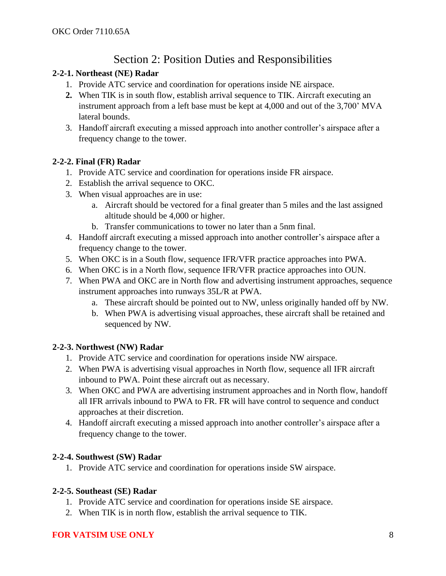# Section 2: Position Duties and Responsibilities

# <span id="page-7-1"></span><span id="page-7-0"></span>**2-2-1. Northeast (NE) Radar**

- 1. Provide ATC service and coordination for operations inside NE airspace.
- **2.** When TIK is in south flow, establish arrival sequence to TIK. Aircraft executing an instrument approach from a left base must be kept at 4,000 and out of the 3,700' MVA lateral bounds.
- 3. Handoff aircraft executing a missed approach into another controller's airspace after a frequency change to the tower.

# <span id="page-7-2"></span>**2-2-2. Final (FR) Radar**

- 1. Provide ATC service and coordination for operations inside FR airspace.
- 2. Establish the arrival sequence to OKC.
- 3. When visual approaches are in use:
	- a. Aircraft should be vectored for a final greater than 5 miles and the last assigned altitude should be 4,000 or higher.
	- b. Transfer communications to tower no later than a 5nm final.
- 4. Handoff aircraft executing a missed approach into another controller's airspace after a frequency change to the tower.
- 5. When OKC is in a South flow, sequence IFR/VFR practice approaches into PWA.
- 6. When OKC is in a North flow, sequence IFR/VFR practice approaches into OUN.
- 7. When PWA and OKC are in North flow and advertising instrument approaches, sequence instrument approaches into runways 35L/R at PWA.
	- a. These aircraft should be pointed out to NW, unless originally handed off by NW.
	- b. When PWA is advertising visual approaches, these aircraft shall be retained and sequenced by NW.

# <span id="page-7-3"></span>**2-2-3. Northwest (NW) Radar**

- 1. Provide ATC service and coordination for operations inside NW airspace.
- 2. When PWA is advertising visual approaches in North flow, sequence all IFR aircraft inbound to PWA. Point these aircraft out as necessary.
- 3. When OKC and PWA are advertising instrument approaches and in North flow, handoff all IFR arrivals inbound to PWA to FR. FR will have control to sequence and conduct approaches at their discretion.
- 4. Handoff aircraft executing a missed approach into another controller's airspace after a frequency change to the tower.

# <span id="page-7-4"></span>**2-2-4. Southwest (SW) Radar**

1. Provide ATC service and coordination for operations inside SW airspace.

# <span id="page-7-5"></span>**2-2-5. Southeast (SE) Radar**

- 1. Provide ATC service and coordination for operations inside SE airspace.
- 2. When TIK is in north flow, establish the arrival sequence to TIK.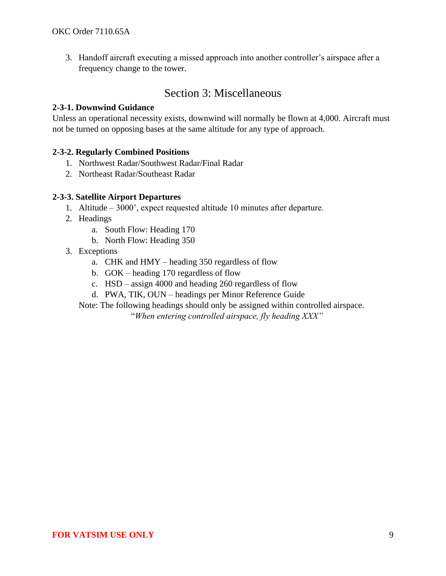3. Handoff aircraft executing a missed approach into another controller's airspace after a frequency change to the tower.

# Section 3: Miscellaneous

# <span id="page-8-1"></span><span id="page-8-0"></span>**2-3-1. Downwind Guidance**

Unless an operational necessity exists, downwind will normally be flown at 4,000. Aircraft must not be turned on opposing bases at the same altitude for any type of approach.

# <span id="page-8-2"></span>**2-3-2. Regularly Combined Positions**

- 1. Northwest Radar/Southwest Radar/Final Radar
- 2. Northeast Radar/Southeast Radar

# <span id="page-8-3"></span>**2-3-3. Satellite Airport Departures**

- 1. Altitude 3000', expect requested altitude 10 minutes after departure.
- 2. Headings
	- a. South Flow: Heading 170
	- b. North Flow: Heading 350
- 3. Exceptions
	- a. CHK and HMY heading 350 regardless of flow
	- b. GOK heading 170 regardless of flow
	- c. HSD assign 4000 and heading 260 regardless of flow
	- d. PWA, TIK, OUN headings per Minor Reference Guide

Note: The following headings should only be assigned within controlled airspace.

"*When entering controlled airspace, fly heading XXX"*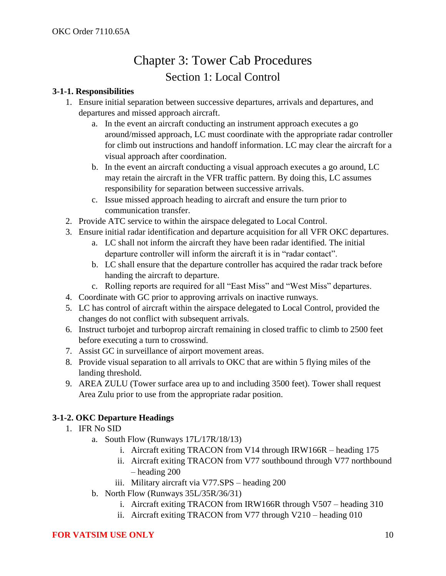# Chapter 3: Tower Cab Procedures Section 1: Local Control

# <span id="page-9-2"></span><span id="page-9-1"></span><span id="page-9-0"></span>**3-1-1. Responsibilities**

- 1. Ensure initial separation between successive departures, arrivals and departures, and departures and missed approach aircraft.
	- a. In the event an aircraft conducting an instrument approach executes a go around/missed approach, LC must coordinate with the appropriate radar controller for climb out instructions and handoff information. LC may clear the aircraft for a visual approach after coordination.
	- b. In the event an aircraft conducting a visual approach executes a go around, LC may retain the aircraft in the VFR traffic pattern. By doing this, LC assumes responsibility for separation between successive arrivals.
	- c. Issue missed approach heading to aircraft and ensure the turn prior to communication transfer.
- 2. Provide ATC service to within the airspace delegated to Local Control.
- 3. Ensure initial radar identification and departure acquisition for all VFR OKC departures.
	- a. LC shall not inform the aircraft they have been radar identified. The initial departure controller will inform the aircraft it is in "radar contact".
	- b. LC shall ensure that the departure controller has acquired the radar track before handing the aircraft to departure.
	- c. Rolling reports are required for all "East Miss" and "West Miss" departures.
- 4. Coordinate with GC prior to approving arrivals on inactive runways.
- 5. LC has control of aircraft within the airspace delegated to Local Control, provided the changes do not conflict with subsequent arrivals.
- 6. Instruct turbojet and turboprop aircraft remaining in closed traffic to climb to 2500 feet before executing a turn to crosswind.
- 7. Assist GC in surveillance of airport movement areas.
- 8. Provide visual separation to all arrivals to OKC that are within 5 flying miles of the landing threshold.
- 9. AREA ZULU (Tower surface area up to and including 3500 feet). Tower shall request Area Zulu prior to use from the appropriate radar position.

# <span id="page-9-3"></span>**3-1-2. OKC Departure Headings**

- 1. IFR No SID
	- a. South Flow (Runways 17L/17R/18/13)
		- i. Aircraft exiting TRACON from V14 through IRW166R heading 175
		- ii. Aircraft exiting TRACON from V77 southbound through V77 northbound – heading 200
		- iii. Military aircraft via V77.SPS heading 200
	- b. North Flow (Runways 35L/35R/36/31)
		- i. Aircraft exiting TRACON from IRW166R through V507 heading 310
		- ii. Aircraft exiting TRACON from V77 through V210 heading 010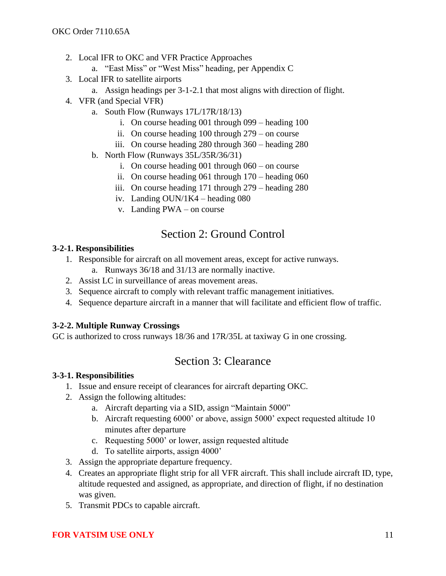- 2. Local IFR to OKC and VFR Practice Approaches
	- a. "East Miss" or "West Miss" heading, per Appendix C
- 3. Local IFR to satellite airports
	- a. Assign headings per 3-1-2.1 that most aligns with direction of flight.
- 4. VFR (and Special VFR)
	- a. South Flow (Runways 17L/17R/18/13)
		- i. On course heading 001 through 099 heading 100
		- ii. On course heading 100 through 279 on course
		- iii. On course heading 280 through 360 heading 280
	- b. North Flow (Runways 35L/35R/36/31)
		- i. On course heading 001 through 060 on course
		- ii. On course heading 061 through 170 heading 060
		- iii. On course heading 171 through 279 heading 280
		- iv. Landing OUN/1K4 heading 080
		- v. Landing PWA on course

# Section 2: Ground Control

## <span id="page-10-1"></span><span id="page-10-0"></span>**3-2-1. Responsibilities**

- 1. Responsible for aircraft on all movement areas, except for active runways.
	- a. Runways 36/18 and 31/13 are normally inactive.
- 2. Assist LC in surveillance of areas movement areas.
- 3. Sequence aircraft to comply with relevant traffic management initiatives.
- 4. Sequence departure aircraft in a manner that will facilitate and efficient flow of traffic.

# <span id="page-10-2"></span>**3-2-2. Multiple Runway Crossings**

GC is authorized to cross runways 18/36 and 17R/35L at taxiway G in one crossing.

# Section 3: Clearance

# <span id="page-10-4"></span><span id="page-10-3"></span>**3-3-1. Responsibilities**

- 1. Issue and ensure receipt of clearances for aircraft departing OKC.
- 2. Assign the following altitudes:
	- a. Aircraft departing via a SID, assign "Maintain 5000"
	- b. Aircraft requesting 6000' or above, assign 5000' expect requested altitude 10 minutes after departure
	- c. Requesting 5000' or lower, assign requested altitude
	- d. To satellite airports, assign 4000'
- 3. Assign the appropriate departure frequency.
- 4. Creates an appropriate flight strip for all VFR aircraft. This shall include aircraft ID, type, altitude requested and assigned, as appropriate, and direction of flight, if no destination was given.
- 5. Transmit PDCs to capable aircraft.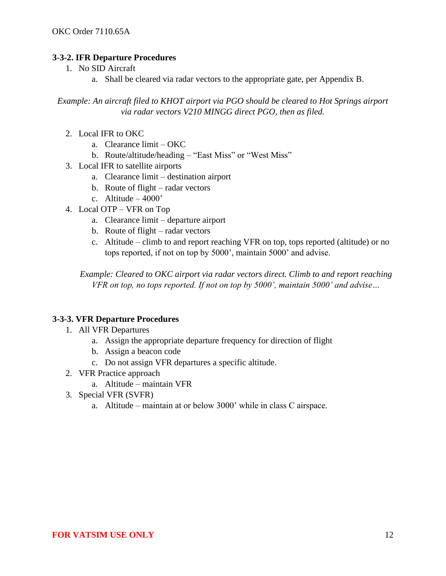## <span id="page-11-0"></span>**3-3-2. IFR Departure Procedures**

- 1. No SID Aircraft
	- a. Shall be cleared via radar vectors to the appropriate gate, per Appendix B.

*Example: An aircraft filed to KHOT airport via PGO should be cleared to Hot Springs airport via radar vectors V210 MINGG direct PGO, then as filed.*

- 2. Local IFR to OKC
	- a. Clearance limit OKC
	- b. Route/altitude/heading "East Miss" or "West Miss"
- 3. Local IFR to satellite airports
	- a. Clearance limit destination airport
	- b. Route of flight radar vectors
	- c. Altitude  $-4000'$
- 4. Local OTP VFR on Top
	- a. Clearance limit departure airport
	- b. Route of flight radar vectors
	- c. Altitude climb to and report reaching VFR on top, tops reported (altitude) or no tops reported, if not on top by 5000', maintain 5000' and advise.

*Example: Cleared to OKC airport via radar vectors direct. Climb to and report reaching VFR on top, no tops reported. If not on top by 5000', maintain 5000' and advise…*

# <span id="page-11-1"></span>**3-3-3. VFR Departure Procedures**

- 1. All VFR Departures
	- a. Assign the appropriate departure frequency for direction of flight
	- b. Assign a beacon code
	- c. Do not assign VFR departures a specific altitude.
- 2. VFR Practice approach
	- a. Altitude maintain VFR
- 3. Special VFR (SVFR)
	- a. Altitude maintain at or below 3000' while in class C airspace.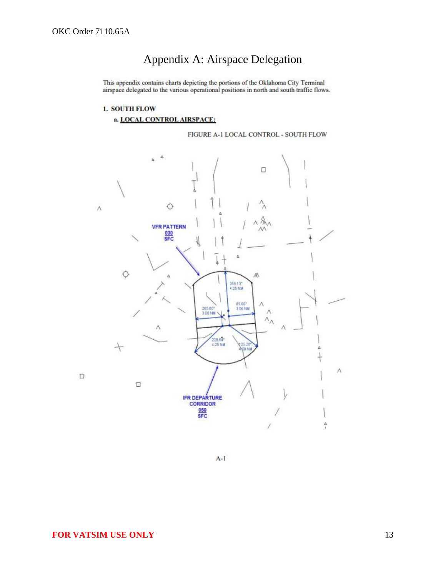# Appendix A: Airspace Delegation

<span id="page-12-0"></span>This appendix contains charts depicting the portions of the Oklahoma City Terminal airspace delegated to the various operational positions in north and south traffic flows.

#### **1. SOUTH FLOW**

#### a. LOCAL CONTROL AIRSPACE:





 $A-I$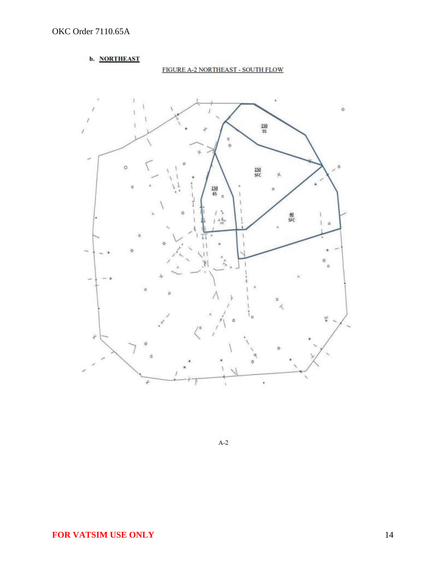

 $A-2$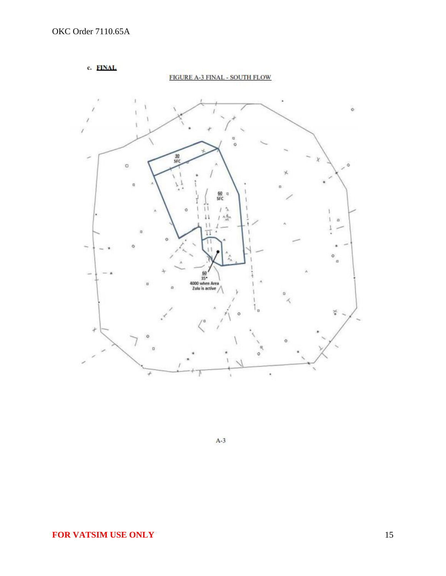

 $A-3$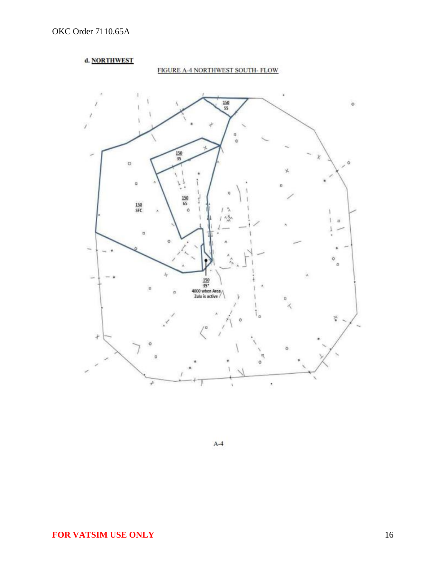d. NORTHWEST



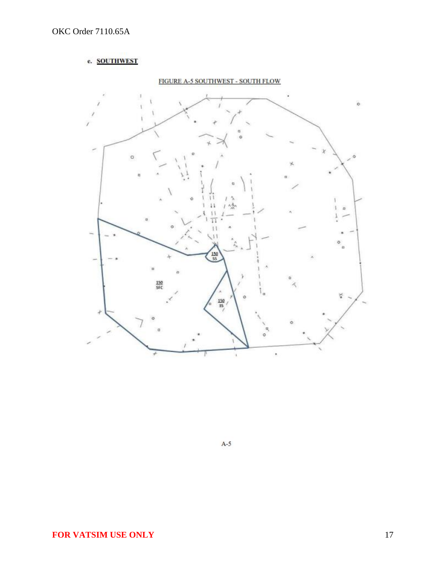e. SOUTHWEST

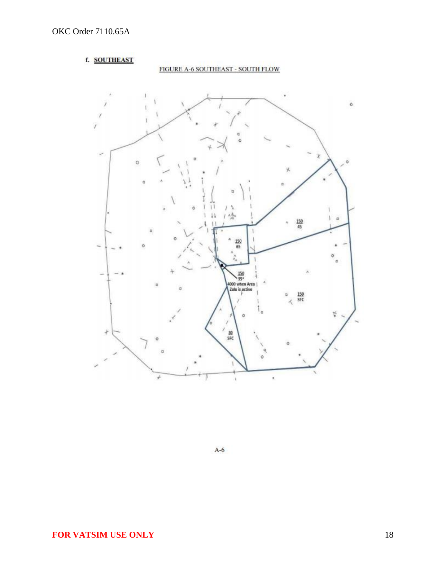# f. SOUTHEAST

# FIGURE A-6 SOUTHEAST - SOUTH FLOW



 $A-6$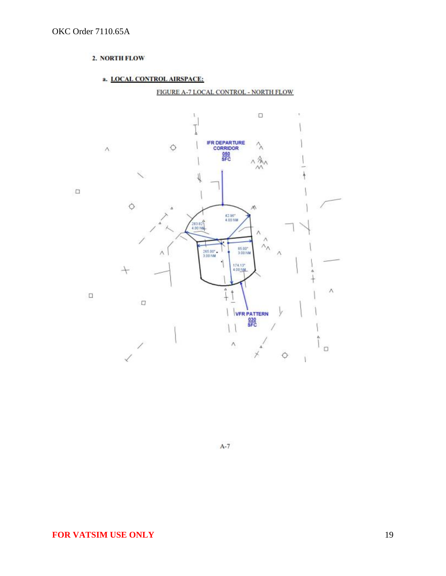## 2. NORTH FLOW

#### a. LOCAL CONTROL AIRSPACE:



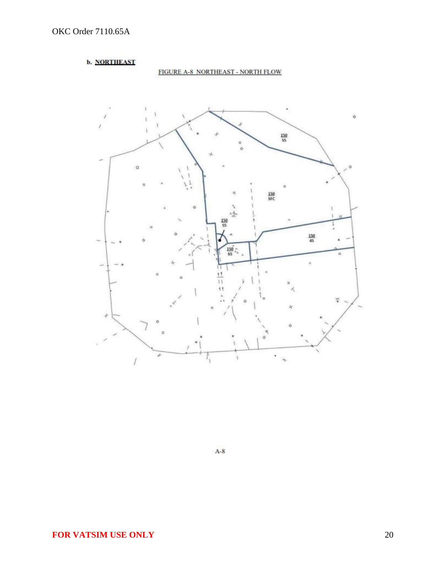**b. NORTHEAST** 

#### FIGURE A-8 NORTHEAST - NORTH FLOW



 $A-8$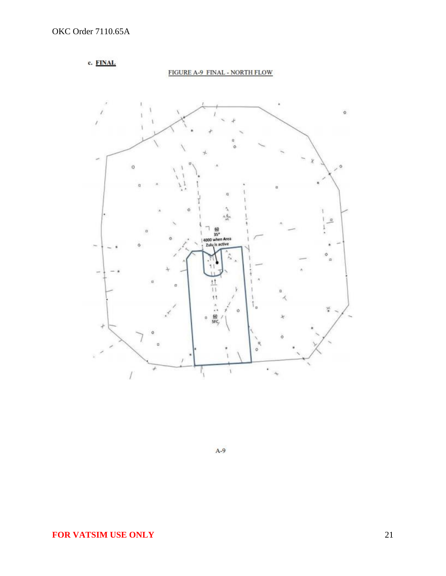c. FINAL

### FIGURE A-9 FINAL - NORTH FLOW

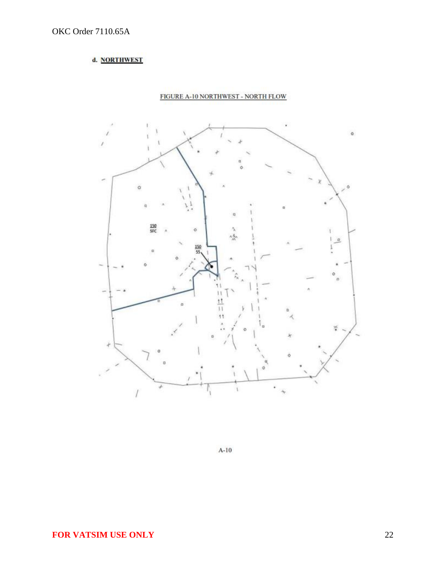# d. NORTHWEST



FIGURE A-10 NORTHWEST - NORTH FLOW



 $A-10$ 

 $\circ$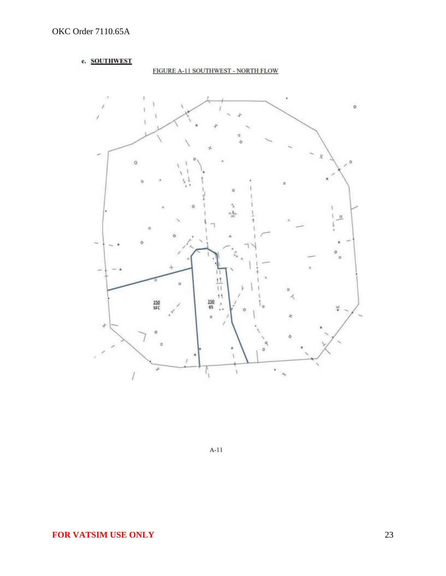e. SOUTHWEST





 $A-11$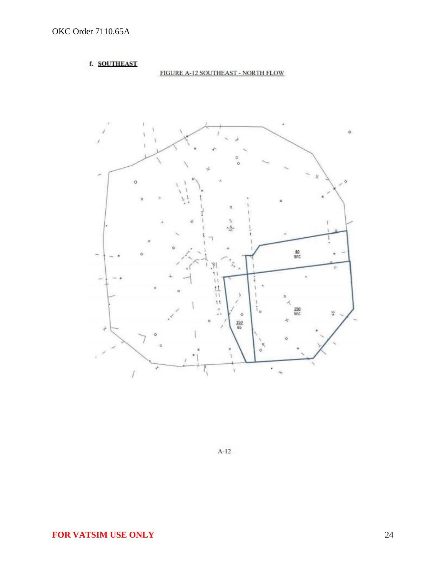# f. SOUTHEAST

# FIGURE A-12 SOUTHEAST - NORTH FLOW

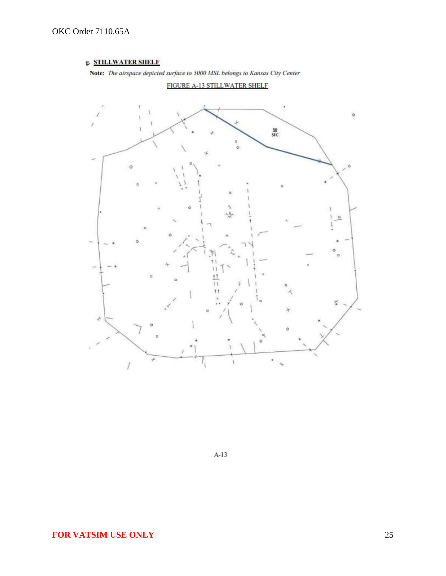## g. STILLWATER SHELF

Note: The airspace depicted surface to 5000 MSL belongs to Kansas City Center



## $A-13$